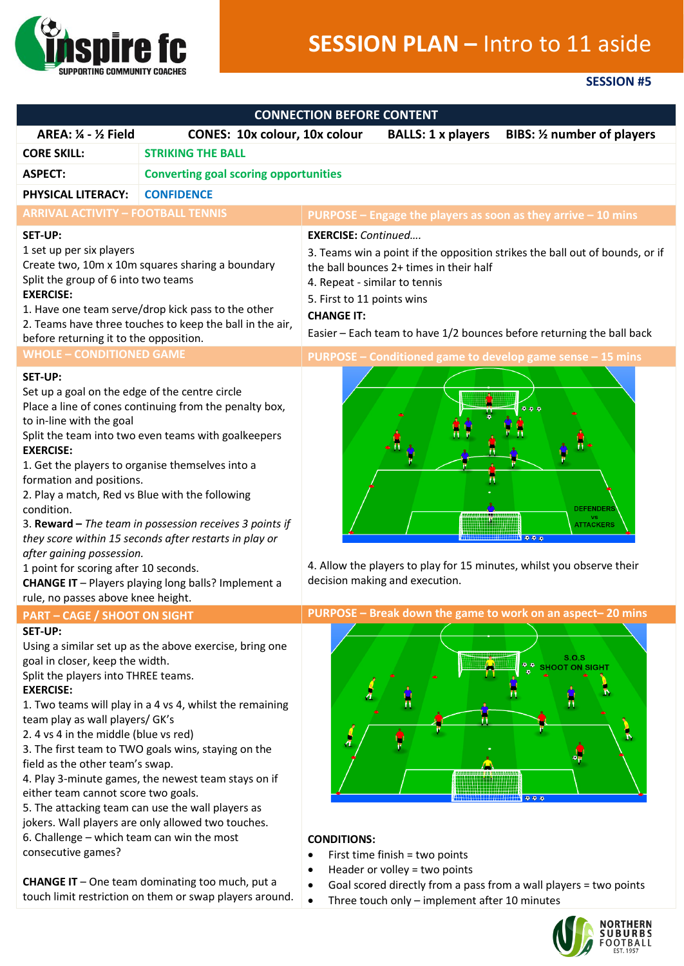

## **SESSION PLAN –** Intro to 11 aside

## **SESSION #5**

| <b>CONNECTION BEFORE CONTENT</b>                                                                                                                                                                                                                                                                                                                                                                                                                                                                                                                                                                                                                                           |                                                                                                                                                                                                                                                                                                                                                                                                                                                                   |                                                                                                                                                                                                                                                                                                                    |  |
|----------------------------------------------------------------------------------------------------------------------------------------------------------------------------------------------------------------------------------------------------------------------------------------------------------------------------------------------------------------------------------------------------------------------------------------------------------------------------------------------------------------------------------------------------------------------------------------------------------------------------------------------------------------------------|-------------------------------------------------------------------------------------------------------------------------------------------------------------------------------------------------------------------------------------------------------------------------------------------------------------------------------------------------------------------------------------------------------------------------------------------------------------------|--------------------------------------------------------------------------------------------------------------------------------------------------------------------------------------------------------------------------------------------------------------------------------------------------------------------|--|
| <b>AREA: 1/4 - 1/2 Field</b>                                                                                                                                                                                                                                                                                                                                                                                                                                                                                                                                                                                                                                               | <b>CONES: 10x colour, 10x colour</b>                                                                                                                                                                                                                                                                                                                                                                                                                              | <b>BALLS: 1 x players</b><br><b>BIBS:</b> 1/2 number of players                                                                                                                                                                                                                                                    |  |
| <b>STRIKING THE BALL</b><br><b>CORE SKILL:</b>                                                                                                                                                                                                                                                                                                                                                                                                                                                                                                                                                                                                                             |                                                                                                                                                                                                                                                                                                                                                                                                                                                                   |                                                                                                                                                                                                                                                                                                                    |  |
| <b>ASPECT:</b><br><b>Converting goal scoring opportunities</b>                                                                                                                                                                                                                                                                                                                                                                                                                                                                                                                                                                                                             |                                                                                                                                                                                                                                                                                                                                                                                                                                                                   |                                                                                                                                                                                                                                                                                                                    |  |
| PHYSICAL LITERACY:                                                                                                                                                                                                                                                                                                                                                                                                                                                                                                                                                                                                                                                         | <b>CONFIDENCE</b>                                                                                                                                                                                                                                                                                                                                                                                                                                                 |                                                                                                                                                                                                                                                                                                                    |  |
| <b>ARRIVAL ACTIVITY - FOOTBALL TENNIS</b>                                                                                                                                                                                                                                                                                                                                                                                                                                                                                                                                                                                                                                  |                                                                                                                                                                                                                                                                                                                                                                                                                                                                   | PURPOSE – Engage the players as soon as they arrive – 10 mins                                                                                                                                                                                                                                                      |  |
| SET-UP:<br>1 set up per six players<br>Create two, 10m x 10m squares sharing a boundary<br>Split the group of 6 into two teams<br><b>EXERCISE:</b><br>1. Have one team serve/drop kick pass to the other<br>2. Teams have three touches to keep the ball in the air,<br>before returning it to the opposition.                                                                                                                                                                                                                                                                                                                                                             |                                                                                                                                                                                                                                                                                                                                                                                                                                                                   | <b>EXERCISE:</b> Continued<br>3. Teams win a point if the opposition strikes the ball out of bounds, or if<br>the ball bounces 2+ times in their half<br>4. Repeat - similar to tennis<br>5. First to 11 points wins<br><b>CHANGE IT:</b><br>Easier - Each team to have 1/2 bounces before returning the ball back |  |
| <b>WHOLE - CONDITIONED GAME</b>                                                                                                                                                                                                                                                                                                                                                                                                                                                                                                                                                                                                                                            |                                                                                                                                                                                                                                                                                                                                                                                                                                                                   | PURPOSE - Conditioned game to develop game sense - 15 mins                                                                                                                                                                                                                                                         |  |
| <b>SET-UP:</b><br>Set up a goal on the edge of the centre circle<br>Place a line of cones continuing from the penalty box,<br>to in-line with the goal<br>Split the team into two even teams with goalkeepers<br><b>EXERCISE:</b><br>1. Get the players to organise themselves into a<br>formation and positions.<br>2. Play a match, Red vs Blue with the following<br>condition.<br>3. Reward - The team in possession receives 3 points if<br>they score within 15 seconds after restarts in play or<br>after gaining possession.<br>1 point for scoring after 10 seconds.<br>CHANGE IT - Players playing long balls? Implement a<br>rule, no passes above knee height. |                                                                                                                                                                                                                                                                                                                                                                                                                                                                   | DEFENDER<br><b>ATTACKERS</b><br>0.9.0<br>4. Allow the players to play for 15 minutes, whilst you observe their<br>decision making and execution.                                                                                                                                                                   |  |
| <b>PART - CAGE / SHOOT ON SIGHT</b>                                                                                                                                                                                                                                                                                                                                                                                                                                                                                                                                                                                                                                        |                                                                                                                                                                                                                                                                                                                                                                                                                                                                   | PURPOSE – Break down the game to work on an aspect–20 mins                                                                                                                                                                                                                                                         |  |
| SET-UP:<br>goal in closer, keep the width.<br>Split the players into THREE teams.<br><b>EXERCISE:</b><br>team play as wall players/ GK's<br>2. 4 vs 4 in the middle (blue vs red)<br>field as the other team's swap.<br>either team cannot score two goals.<br>6. Challenge - which team can win the most<br>consecutive games?                                                                                                                                                                                                                                                                                                                                            | Using a similar set up as the above exercise, bring one<br>1. Two teams will play in a 4 vs 4, whilst the remaining<br>3. The first team to TWO goals wins, staying on the<br>4. Play 3-minute games, the newest team stays on if<br>5. The attacking team can use the wall players as<br>jokers. Wall players are only allowed two touches.<br><b>CHANGE IT</b> - One team dominating too much, put a<br>touch limit restriction on them or swap players around. | S.O.S<br><b>SHOOT ON SIGHT</b><br>п<br>ĥ<br>000<br><b>CONDITIONS:</b><br>First time finish = two points<br>٠<br>Header or volley = two points<br>٠<br>Goal scored directly from a pass from a wall players = two points<br>Three touch only - implement after 10 minutes<br>$\bullet$                              |  |